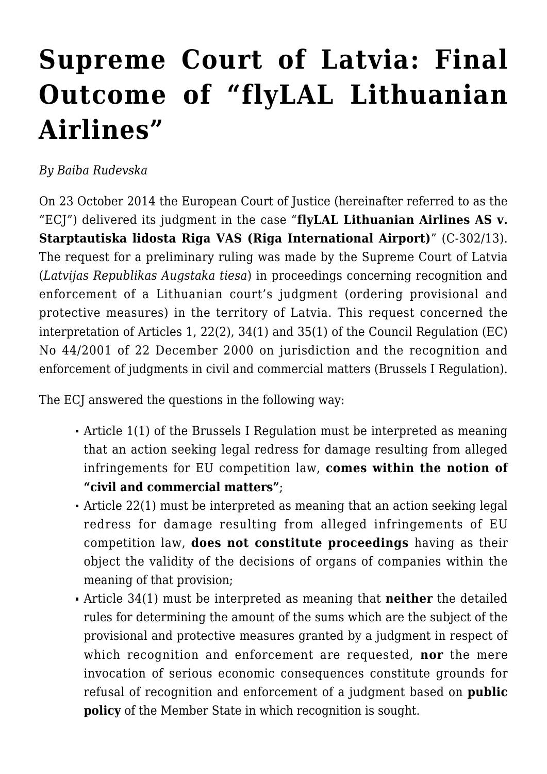## **[Supreme Court of Latvia: Final](https://conflictoflaws.net/2016/supreme-court-of-latvia-final-outcome-of-flylal-lithuanian-airlines/) [Outcome of "flyLAL Lithuanian](https://conflictoflaws.net/2016/supreme-court-of-latvia-final-outcome-of-flylal-lithuanian-airlines/) [Airlines"](https://conflictoflaws.net/2016/supreme-court-of-latvia-final-outcome-of-flylal-lithuanian-airlines/)**

*By Baiba Rudevska*

On 23 October 2014 the European Court of Justice (hereinafter referred to as the "ECJ") delivered its judgment in the case "**flyLAL Lithuanian Airlines AS v. Starptautiska lidosta Riga VAS (Riga International Airport)**" (C-302/13). The request for a preliminary ruling was made by the Supreme Court of Latvia (*Latvijas Republikas Augstaka tiesa*) in proceedings concerning recognition and enforcement of a Lithuanian court's judgment (ordering provisional and protective measures) in the territory of Latvia. This request concerned the interpretation of Articles 1, 22(2), 34(1) and 35(1) of the Council Regulation (EC) No 44/2001 of 22 December 2000 on jurisdiction and the recognition and enforcement of judgments in civil and commercial matters (Brussels I Regulation).

The ECJ answered the questions in the following way:

- Article 1(1) of the Brussels I Regulation must be interpreted as meaning that an action seeking legal redress for damage resulting from alleged infringements for EU competition law, **comes within the notion of "civil and commercial matters"**;
- Article 22(1) must be interpreted as meaning that an action seeking legal redress for damage resulting from alleged infringements of EU competition law, **does not constitute proceedings** having as their object the validity of the decisions of organs of companies within the meaning of that provision;
- Article 34(1) must be interpreted as meaning that **neither** the detailed rules for determining the amount of the sums which are the subject of the provisional and protective measures granted by a judgment in respect of which recognition and enforcement are requested, **nor** the mere invocation of serious economic consequences constitute grounds for refusal of recognition and enforcement of a judgment based on **public policy** of the Member State in which recognition is sought.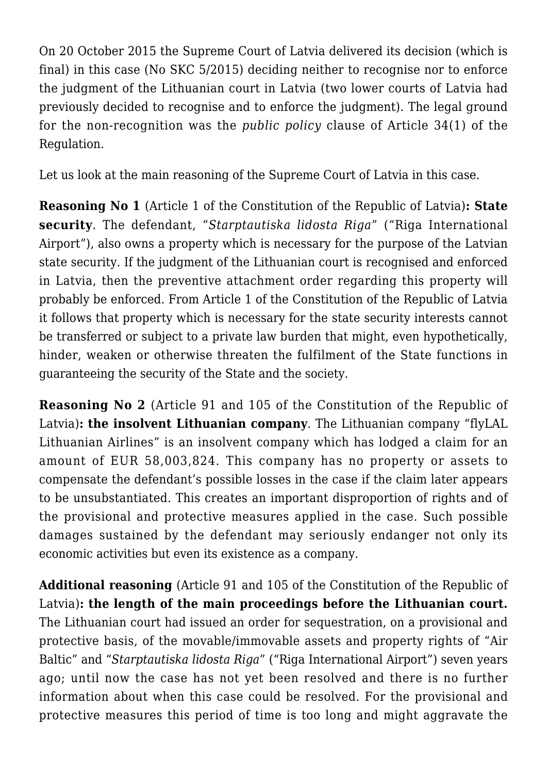On 20 October 2015 the Supreme Court of Latvia delivered its decision (which is final) in this case (No SKC 5/2015) deciding neither to recognise nor to enforce the judgment of the Lithuanian court in Latvia (two lower courts of Latvia had previously decided to recognise and to enforce the judgment). The legal ground for the non-recognition was the *public policy* clause of Article 34(1) of the Regulation.

Let us look at the main reasoning of the Supreme Court of Latvia in this case.

**Reasoning No 1** (Article 1 of the Constitution of the Republic of Latvia)**: State security**. The defendant, "*Starptautiska lidosta Riga*" ("Riga International Airport"), also owns a property which is necessary for the purpose of the Latvian state security. If the judgment of the Lithuanian court is recognised and enforced in Latvia, then the preventive attachment order regarding this property will probably be enforced. From Article 1 of the Constitution of the Republic of Latvia it follows that property which is necessary for the state security interests cannot be transferred or subject to a private law burden that might, even hypothetically, hinder, weaken or otherwise threaten the fulfilment of the State functions in guaranteeing the security of the State and the society.

**Reasoning No 2** (Article 91 and 105 of the Constitution of the Republic of Latvia)**: the insolvent Lithuanian company**. The Lithuanian company "flyLAL Lithuanian Airlines" is an insolvent company which has lodged a claim for an amount of EUR 58,003,824. This company has no property or assets to compensate the defendant's possible losses in the case if the claim later appears to be unsubstantiated. This creates an important disproportion of rights and of the provisional and protective measures applied in the case. Such possible damages sustained by the defendant may seriously endanger not only its economic activities but even its existence as a company.

**Additional reasoning** (Article 91 and 105 of the Constitution of the Republic of Latvia)**: the length of the main proceedings before the Lithuanian court.** The Lithuanian court had issued an order for sequestration, on a provisional and protective basis, of the movable/immovable assets and property rights of "Air Baltic" and "*Starptautiska lidosta Riga*" ("Riga International Airport") seven years ago; until now the case has not yet been resolved and there is no further information about when this case could be resolved. For the provisional and protective measures this period of time is too long and might aggravate the